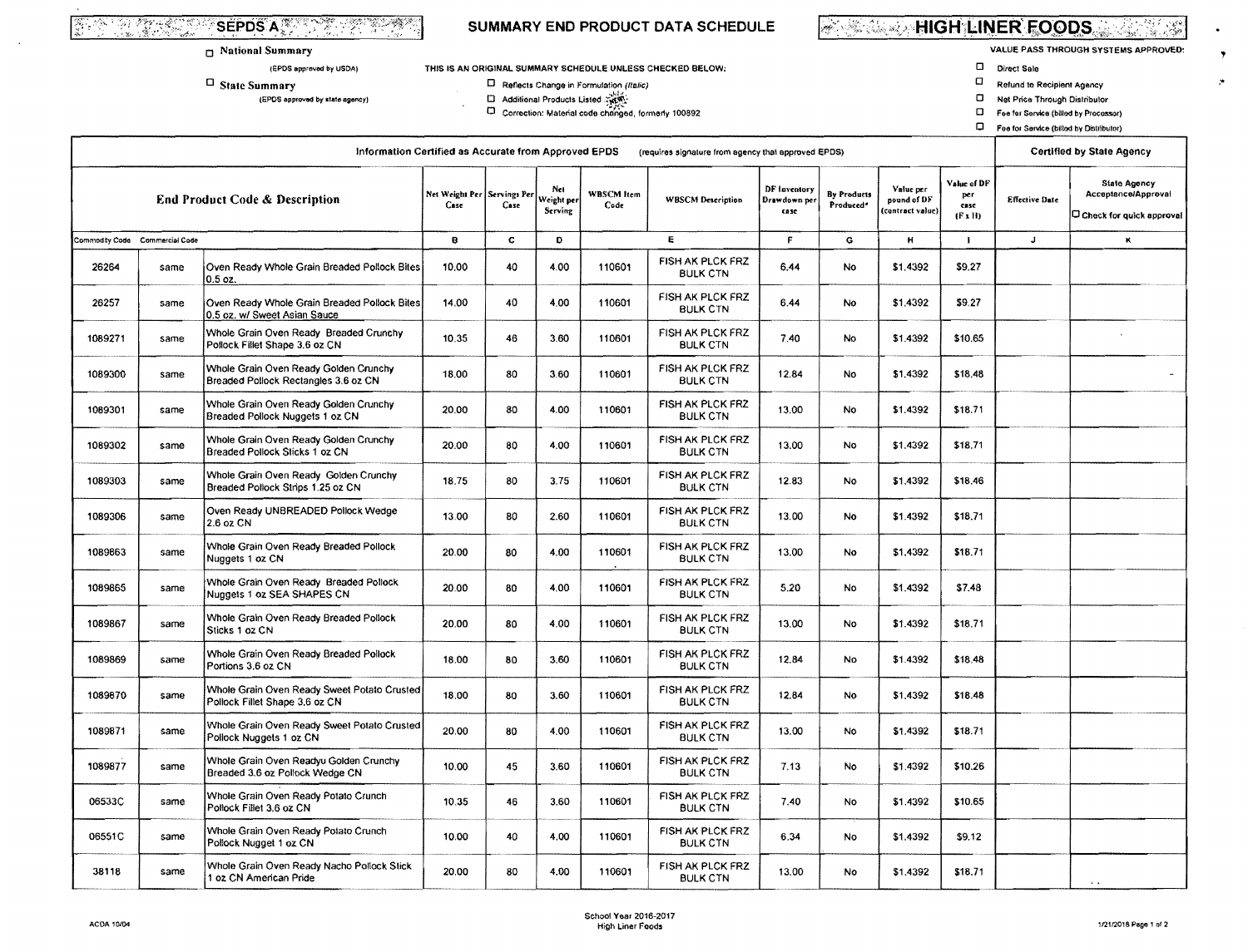# **THE ALL SEPOS AND ALL PROPERTY**

#### **D** National Summary

(EPDS approved by USDA)

 $\Box$  State Summary

(EPDS approved by state agency)

### SUMMARY END PRODUCT DATA SCHEDULE

#### THIS IS AN ORIGINAL SUMMARY SCHEDULE UNLESS CHECKED BELOW:

 $\square$  Reflects Change in Formulation (Italic)

□<br>
Additional Products Listed<br>
□ Correction: Material code changed, formerly 100892

**WELL SETTLE HIGH LINER FOODS** ناسي.<br>مناسب

**VALUE PASS THROUGH SYSTEMS APPROVED:** 

 $\bullet$ 

 $\bullet$ 

D Direct Sale

 $\frac{1}{2} \frac{1}{2} \frac{1}{2}$  .

- $\Box$ Refund to Recipient Agency
- $\Box$ Net Price Through Distributor
- El Fee for Service (billed by Processor)
- Foe for Service (billed by Distributor)

| Information Certified as Accurate from Approved EPDS<br>(requires signature from agency that approved EPDS) |                                |                                                                               |                        |                     |                             |                           |                                     |                                     |                          |                                              | <b>Certified by State Agency</b>             |                       |                                                                        |
|-------------------------------------------------------------------------------------------------------------|--------------------------------|-------------------------------------------------------------------------------|------------------------|---------------------|-----------------------------|---------------------------|-------------------------------------|-------------------------------------|--------------------------|----------------------------------------------|----------------------------------------------|-----------------------|------------------------------------------------------------------------|
|                                                                                                             |                                | <b>End Product Code &amp; Description</b>                                     | Net Weight Per<br>Case | Servings Pe<br>Case | Net<br>Weight pe<br>Serving | <b>WBSCM</b> Item<br>Code | <b>WBSCM Description</b>            | DF Inventory<br>Drawdown pe<br>case | By Products<br>Produced* | Value per<br>pound of DF<br>(contract value) | Value of DF<br>per<br>case<br>$(F \times H)$ | <b>Effective Date</b> | <b>State Agency</b><br>Acceptance/Approval<br>Check for quick approval |
|                                                                                                             | Commodity Code Commercial Code |                                                                               |                        | E<br>C.<br>D.<br>в. |                             | F                         | G                                   | н                                   | <sup>-</sup>             | $\mathbf{J}$                                 | ĸ                                            |                       |                                                                        |
| 26264                                                                                                       | same                           | Oven Ready Whole Grain Breaded Pollock Bites<br>0.5 oz.                       | 10.00                  | 40                  | 4.00                        | 110601                    | FISH AK PLCK FRZ<br><b>BULK CTN</b> | 6.44                                | No                       | \$1,4392                                     | \$9.27                                       |                       |                                                                        |
| 26257                                                                                                       | same                           | Oven Ready Whole Grain Breaded Pollock Bites<br>0.5 oz. w/ Sweet Asian Sauce  | 14.00                  | 40                  | 4.00                        | 110601                    | FISH AK PLCK FRZ<br><b>BULK CTN</b> | 6,44                                | No                       | \$1,4392                                     | \$9.27                                       |                       |                                                                        |
| 1089271                                                                                                     | same                           | Whole Grain Oven Ready Breaded Crunchy<br>Pollock Fillet Shape 3.6 oz CN      | 10.35                  | 46                  | 3.60                        | 110601                    | FISH AK PLCK FRZ<br><b>BULK CTN</b> | 7.40                                | <b>No</b>                | \$1,4392                                     | \$10.65                                      |                       |                                                                        |
| 1089300                                                                                                     | same                           | Whole Grain Oven Ready Golden Crunchy<br>Breaded Pollock Rectangles 3.6 oz CN | 18.00                  | 80                  | 3.60                        | 110601                    | FISH AK PLCK FRZ<br><b>BULK CTN</b> | 12.84                               | No                       | \$1,4392                                     | \$18.48                                      |                       |                                                                        |
| 1089301                                                                                                     | same                           | Whole Grain Oven Ready Golden Crunchy<br>Breaded Pollock Nuggets 1 oz CN      | 20.00                  | 80                  | 4.00                        | 110601                    | FISH AK PLCK FRZ<br><b>BULK CTN</b> | 13.00                               | No                       | \$1,4392                                     | \$18.71                                      |                       |                                                                        |
| 1089302                                                                                                     | same                           | Whole Grain Oven Ready Golden Crunchy<br>Breaded Pollock Sticks 1 oz CN       | 20.00                  | 80                  | 4.00                        | 110601                    | FISH AK PLCK FRZ<br><b>BULK CTN</b> | 13.00                               | <b>No</b>                | \$1.4392                                     | \$18.71                                      |                       |                                                                        |
| 1089303                                                                                                     | same                           | Whole Grain Oven Ready Golden Crunchy<br>Breaded Pollock Strips 1.25 oz CN    | 18.75                  | 80                  | 3.75                        | 110601                    | FISH AK PLCK FRZ<br><b>BULK CTN</b> | 12.83                               | No                       | \$1,4392                                     | \$18.46                                      |                       |                                                                        |
| 1089306                                                                                                     | same                           | Oven Ready UNBREADED Pollock Wedge<br>2.6 oz CN                               | 13.00                  | 80                  | 2.60                        | 110601                    | FISH AK PLCK FRZ<br><b>BULK CTN</b> | 13.00                               | No                       | \$1.4392                                     | \$18.71                                      |                       |                                                                        |
| 1089863                                                                                                     | same                           | Whole Grain Oven Ready Breaded Pollock<br>Nuggets 1 oz CN                     | 20.00                  | 80                  | 4.00                        | 110601                    | FISH AK PLCK FRZ<br><b>BULK CTN</b> | 13.00                               | No                       | \$1.4392                                     | \$18.71                                      |                       |                                                                        |
| 1089865                                                                                                     | same                           | Whole Grain Oven Ready Breaded Pollock<br>Nuggets 1 oz SEA SHAPES CN          | 20.00                  | 80                  | 4.00                        | 110601                    | FISH AK PLCK FRZ<br><b>BULK CTN</b> | 5.20                                | <b>No</b>                | \$1,4392                                     | \$7.48                                       |                       |                                                                        |
| 1089867                                                                                                     | same                           | Whole Grain Oven Ready Breaded Pollock<br>Sticks 1 oz CN                      | 20.00                  | 80                  | 4.00                        | 110601                    | FISH AK PLCK FRZ<br><b>BULK CTN</b> | 13.00                               | <b>No</b>                | \$1.4392                                     | \$18.71                                      |                       |                                                                        |
| 1089869                                                                                                     | same                           | Whole Grain Oven Ready Breaded Pollock<br>Portions 3.6 oz CN                  | 18.00                  | 80                  | 3.60                        | 110601                    | FISH AK PLCK FRZ<br><b>BULK CTN</b> | 12,84                               | No.                      | \$1,4392                                     | \$18.48                                      |                       |                                                                        |
| 1089870                                                                                                     | same                           | Whole Grain Oven Ready Sweet Potato Crusted<br>Pollock Fillet Shape 3,6 oz CN | 18,00                  | 80                  | 3.60                        | 110601                    | FISH AK PLCK FRZ<br><b>BULK CTN</b> | 12.84                               | No                       | \$1,4392                                     | \$18.48                                      |                       |                                                                        |
| 1089871                                                                                                     | same                           | Whole Grain Oven Ready Sweet Potato Crusted<br>Pollock Nuggets 1 oz CN        | 20.00                  | 80                  | 4.00                        | 110601                    | FISH AK PLCK FRZ<br><b>BULK CTN</b> | 13.00                               | No                       | \$1,4392                                     | \$18.71                                      |                       |                                                                        |
| 1089877                                                                                                     | same                           | Whole Grain Oven Readyu Golden Crunchy<br>Breaded 3.6 oz Pollock Wedge CN     | 10.00                  | 45                  | 3.60                        | 110601                    | FISH AK PLCK FRZ<br><b>BULK CTN</b> | 7.13                                | No.                      | \$1,4392                                     | \$10.26                                      |                       |                                                                        |
| 06533C                                                                                                      | same                           | Whole Grain Oven Ready Potato Crunch<br>Poltock Fillet 3.6 oz CN              | 10.35                  | 46                  | 3,60                        | 110601                    | FISH AK PLCK FRZ<br><b>BULK CTN</b> | 7.40                                | No                       | \$1.4392                                     | \$10.65                                      |                       |                                                                        |
| 06551C                                                                                                      | same                           | Whole Grain Oven Ready Potato Crunch<br>Pollock Nugget 1 oz CN                | 10.00                  | 40                  | 4.00                        | 110601                    | FISH AK PLCK FRZ<br><b>BULK CTN</b> | 6.34                                | No.                      | \$1,4392                                     | \$9.12                                       |                       |                                                                        |
| 38118                                                                                                       | same                           | Whole Grain Oven Ready Nacho Pollock Stick<br>1 oz CN American Pride          | 20.00                  | 80                  | 4.00                        | 110601                    | FISH AK PLCK FRZ<br><b>BULK CTN</b> | 13.00                               | No.                      | \$1,4392                                     | \$18.71                                      |                       |                                                                        |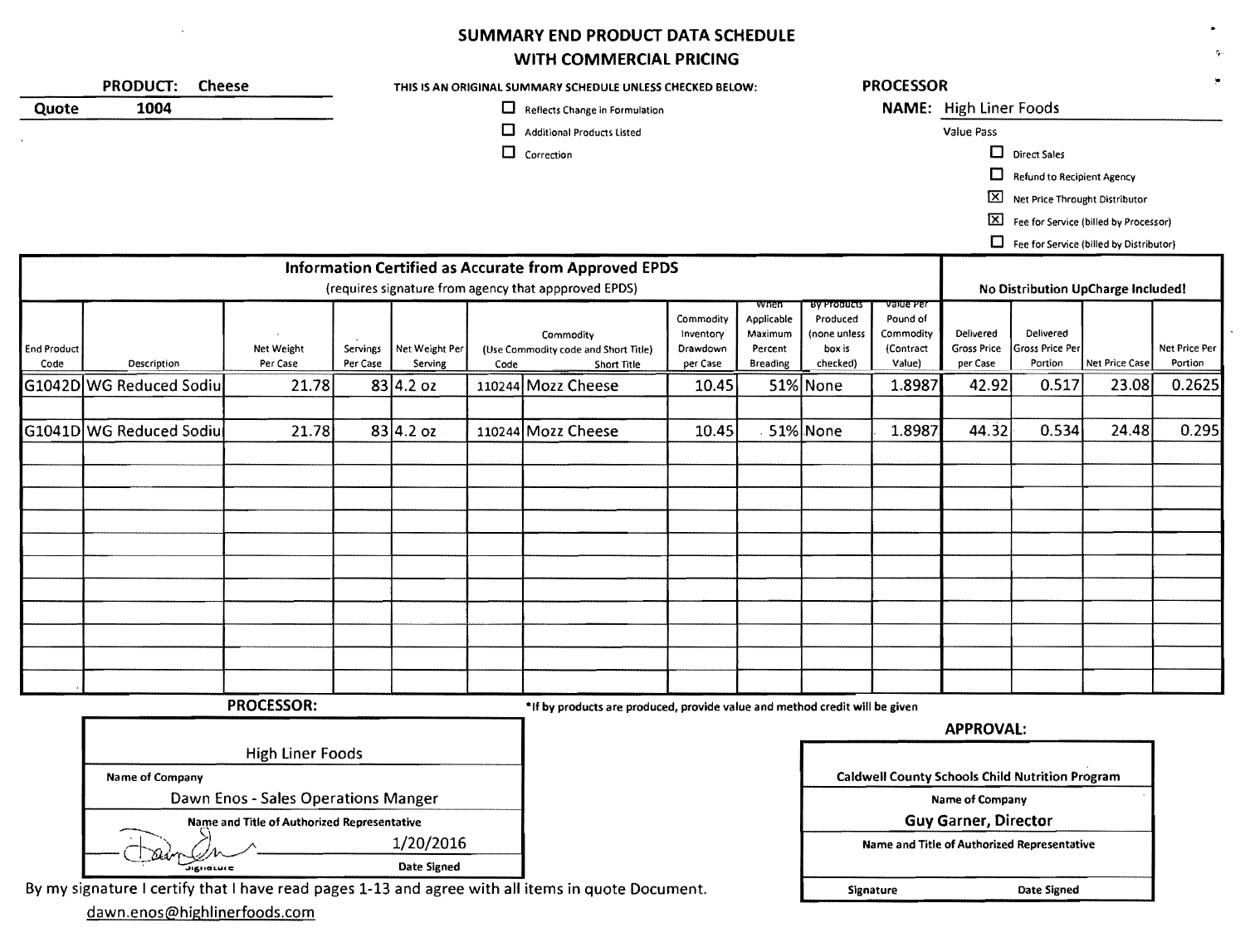## SUMMARY END PRODUCT DATA SCHEDULE

## WITH COMMERCIAL PRICING

|                            |                                             |                             |                      |                           |                                | WITH COMMERCIAL PRICING                                                     |                                                |                                                             |                                                                      |                                                           |                                             |                                                        |                                         |                                 |
|----------------------------|---------------------------------------------|-----------------------------|----------------------|---------------------------|--------------------------------|-----------------------------------------------------------------------------|------------------------------------------------|-------------------------------------------------------------|----------------------------------------------------------------------|-----------------------------------------------------------|---------------------------------------------|--------------------------------------------------------|-----------------------------------------|---------------------------------|
|                            | <b>PRODUCT:</b><br><b>Cheese</b>            |                             |                      |                           |                                | THIS IS AN ORIGINAL SUMMARY SCHEDULE UNLESS CHECKED BELOW:                  |                                                |                                                             |                                                                      | <b>PROCESSOR</b>                                          |                                             |                                                        |                                         |                                 |
| 1004<br>Quote              |                                             |                             |                      |                           | Reflects Change in Formulation |                                                                             |                                                |                                                             |                                                                      |                                                           | NAME: High Liner Foods                      |                                                        |                                         |                                 |
|                            |                                             |                             |                      |                           | □                              | <b>Additional Products Listed</b>                                           |                                                |                                                             |                                                                      |                                                           | Value Pass                                  |                                                        |                                         |                                 |
|                            |                                             |                             |                      |                           |                                | $\Box$ Correction                                                           |                                                |                                                             |                                                                      |                                                           |                                             | $\Box$ Direct Sales                                    |                                         |                                 |
|                            |                                             |                             |                      |                           |                                |                                                                             |                                                |                                                             |                                                                      |                                                           | □                                           | <b>Refund to Recipient Agency</b>                      |                                         |                                 |
|                            |                                             |                             |                      |                           |                                |                                                                             |                                                |                                                             |                                                                      |                                                           | 囟                                           | Net Price Throught Distributor                         |                                         |                                 |
|                            |                                             |                             |                      |                           |                                |                                                                             |                                                |                                                             |                                                                      |                                                           | $\boxtimes$                                 |                                                        | Fee for Service (billed by Processor)   |                                 |
|                            |                                             |                             |                      |                           |                                |                                                                             |                                                |                                                             |                                                                      |                                                           |                                             |                                                        | Fee for Service (billed by Distributor) |                                 |
|                            |                                             |                             |                      |                           |                                | Information Certified as Accurate from Approved EPDS                        |                                                |                                                             |                                                                      |                                                           |                                             |                                                        |                                         |                                 |
|                            |                                             |                             |                      |                           |                                | (requires signature from agency that appproved EPDS)                        |                                                |                                                             |                                                                      |                                                           |                                             |                                                        | No Distribution UpCharge Included!      |                                 |
| <b>End Product</b><br>Code | Description                                 | Net Weight<br>Per Case      | Servings<br>Per Case | Net Weight Per<br>Serving | Code                           | Commodity<br>(Use Commodity code and Short Title)<br>Short Title            | Commodity<br>Inventory<br>Drawdown<br>per Case | wnen<br>Applicable<br>Maximum<br>Percent<br><b>Breading</b> | <b>By Products</b><br>Produced<br>(none unless<br>box is<br>checked) | value Per<br>Pound of<br>Commodity<br>(Contract<br>Value) | Delivered<br><b>Gross Price</b><br>per Case | Delivered<br>Gross Price Per<br>Portion                | Net Price Case                          | <b>Net Price Per</b><br>Portion |
|                            | G1042D WG Reduced Sodiu                     | 21.78                       |                      | $83 4.2$ oz               |                                | 110244 Mozz Cheese                                                          | 10.45                                          |                                                             | 51% None                                                             | 1.8987                                                    | 42.92                                       | 0.517                                                  | 23.08                                   | 0.2625                          |
|                            |                                             |                             |                      |                           |                                |                                                                             |                                                |                                                             |                                                                      |                                                           |                                             |                                                        |                                         |                                 |
|                            | G1041D WG Reduced Sodiu                     | 21.78                       |                      | $83 4.2$ oz               |                                | 110244 Mozz Cheese                                                          | 10.45                                          |                                                             | 51% None                                                             | 1.8987                                                    | 44.32                                       | 0.534                                                  | 24.48                                   | 0.295                           |
|                            |                                             |                             |                      |                           |                                |                                                                             |                                                |                                                             |                                                                      |                                                           |                                             |                                                        |                                         |                                 |
|                            |                                             |                             |                      |                           |                                |                                                                             |                                                |                                                             |                                                                      |                                                           |                                             |                                                        |                                         |                                 |
|                            |                                             |                             |                      |                           |                                |                                                                             |                                                |                                                             |                                                                      |                                                           |                                             |                                                        |                                         |                                 |
|                            |                                             |                             |                      |                           |                                |                                                                             |                                                |                                                             |                                                                      |                                                           |                                             |                                                        |                                         |                                 |
|                            |                                             |                             |                      |                           |                                |                                                                             |                                                |                                                             |                                                                      |                                                           |                                             |                                                        |                                         |                                 |
|                            |                                             |                             |                      |                           |                                |                                                                             |                                                |                                                             |                                                                      |                                                           |                                             |                                                        |                                         |                                 |
|                            |                                             |                             |                      |                           |                                |                                                                             |                                                |                                                             |                                                                      |                                                           |                                             |                                                        |                                         |                                 |
|                            |                                             |                             |                      |                           |                                |                                                                             |                                                |                                                             |                                                                      |                                                           |                                             |                                                        |                                         |                                 |
|                            |                                             |                             |                      |                           |                                |                                                                             |                                                |                                                             |                                                                      |                                                           |                                             |                                                        |                                         |                                 |
|                            |                                             |                             |                      |                           |                                |                                                                             |                                                |                                                             |                                                                      |                                                           |                                             |                                                        |                                         |                                 |
|                            |                                             |                             |                      |                           |                                |                                                                             |                                                |                                                             |                                                                      |                                                           |                                             |                                                        |                                         |                                 |
|                            |                                             | <b>PROCESSOR:</b>           |                      |                           |                                | *If by products are produced, provide value and method credit will be given |                                                |                                                             |                                                                      |                                                           |                                             |                                                        |                                         |                                 |
|                            |                                             |                             |                      |                           |                                |                                                                             |                                                |                                                             |                                                                      |                                                           | <b>APPROVAL:</b>                            |                                                        |                                         |                                 |
|                            |                                             | <b>High Liner Foods</b>     |                      |                           |                                |                                                                             |                                                |                                                             |                                                                      |                                                           |                                             |                                                        |                                         |                                 |
|                            | Name of Company                             |                             |                      |                           |                                |                                                                             |                                                |                                                             |                                                                      |                                                           |                                             | <b>Caldwell County Schools Child Nutrition Program</b> |                                         |                                 |
|                            | Dawn Enos - Sales Operations Manger         | Name of Company             |                      |                           |                                |                                                                             |                                                |                                                             |                                                                      |                                                           |                                             |                                                        |                                         |                                 |
|                            | Name and Title of Authorized Representative | <b>Guy Garner, Director</b> |                      |                           |                                |                                                                             |                                                |                                                             |                                                                      |                                                           |                                             |                                                        |                                         |                                 |
| 1/20/2016                  |                                             |                             |                      |                           |                                |                                                                             |                                                |                                                             |                                                                      |                                                           |                                             | Name and Title of Authorized Representative            |                                         |                                 |
|                            | Digitature.                                 |                             |                      | Date Signed               |                                |                                                                             |                                                |                                                             |                                                                      |                                                           |                                             |                                                        |                                         |                                 |

Signature Date Signed

By my signature I certify that I have read pages 1-13 and agree with all items in quote Document.

dawn.enos@highlinerfoods.com